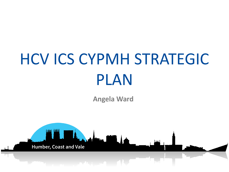# HCV ICS CYPMH STRATEGIC PLAN

**Angela Ward**

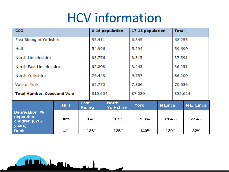### HCV information

| <b>CCG</b>                                                    |                 | 0-16 population              |                   | 17-18 population                 |                   | <b>Total</b>      |         |                  |
|---------------------------------------------------------------|-----------------|------------------------------|-------------------|----------------------------------|-------------------|-------------------|---------|------------------|
| <b>East Riding of Yorkshire</b>                               |                 |                              | 55,411            |                                  | 6,845             |                   | 62,256  |                  |
| Hull                                                          |                 |                              | 54,396            |                                  | 5,294             |                   | 59,690  |                  |
| <b>North Lincolnshire</b>                                     |                 |                              | 33,776            |                                  | 3,815             |                   | 37,591  |                  |
| <b>North East Lincolnshire</b>                                |                 |                              | 32,808            |                                  | 3,443             |                   | 36,251  |                  |
| <b>North Yorkshire</b>                                        |                 |                              | 76,443            |                                  | 9,757             |                   | 86,200  |                  |
| Vale of York                                                  |                 |                              | 62,770            |                                  | 7,866             |                   | 70,636  |                  |
| <b>Total Humber, Coast and Vale</b>                           |                 |                              | 315,604           |                                  | 37,020            |                   | 352,624 |                  |
|                                                               | <b>Hull</b>     | <b>East</b><br><b>Riding</b> |                   | <b>North</b><br><b>Yorkshire</b> | <b>York</b>       | <b>N</b> Lincs    |         | <b>NE Lincs</b>  |
| <b>Deprivation %</b><br>dependent<br>children (0-15<br>years) | 38%             |                              | 9.4%              | 9.7%                             | 9.3%              | 19.4%             |         | 27.4%            |
| <b>Rank</b>                                                   | 4 <sup>th</sup> |                              | 126 <sup>th</sup> | 125 <sup>th</sup>                | 140 <sup>th</sup> | 129 <sup>th</sup> |         | 32 <sup>nd</sup> |

豐豐

 $\frac{1}{2}$ 

 $\frac{1}{2}$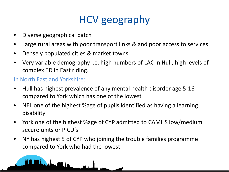### HCV geography

- Diverse geographical patch
- Large rural areas with poor transport links & and poor access to services
- Densely populated cities & market towns
- Very variable demography i.e. high numbers of LAC in Hull, high levels of complex ED in East riding.

### In North East and Yorkshire:

- Hull has highest prevalence of any mental health disorder age 5-16 compared to York which has one of the lowest
- NEL one of the highest %age of pupils identified as having a learning disability
- York one of the highest %age of CYP admitted to CAMHS low/medium secure units or PICU's
- NY has highest 5 of CYP who joining the trouble families programme compared to York who had the lowest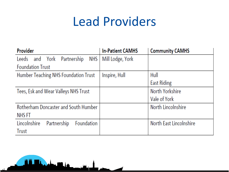### Lead Providers

| Provider                                    | <b>In-Patient CAMHS</b> | <b>Community CAMHS</b>  |  |
|---------------------------------------------|-------------------------|-------------------------|--|
| Leeds and York Partnership<br>NHS           | Mill Lodge, York        |                         |  |
| <b>Foundation Trust</b>                     |                         |                         |  |
| Humber Teaching NHS Foundation Trust        | Inspire, Hull           | Hull                    |  |
|                                             |                         | <b>East Riding</b>      |  |
| Tees, Esk and Wear Valleys NHS Trust        |                         | North Yorkshire         |  |
|                                             |                         | Vale of York            |  |
| <b>Rotherham Doncaster and South Humber</b> |                         | North Lincolnshire      |  |
| NHS FT                                      |                         |                         |  |
| Lincolnshire<br>Partnership<br>Foundation   |                         | North East Lincolnshire |  |
| <b>Trust</b>                                |                         |                         |  |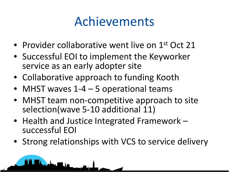### Achievements

- Provider collaborative went live on 1<sup>st</sup> Oct 21
- Successful EOI to implement the Keyworker service as an early adopter site
- Collaborative approach to funding Kooth
- MHST waves 1-4 5 operational teams
- MHST team non-competitive approach to site selection(wave 5-10 additional 11)
- Health and Justice Integrated Framework successful EOI
- Strong relationships with VCS to service delivery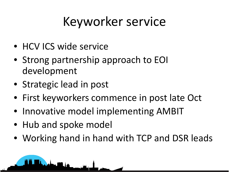## Keyworker service

- HCV ICS wide service
- Strong partnership approach to EOI development
- Strategic lead in post
- First keyworkers commence in post late Oct
- Innovative model implementing AMBIT
- Hub and spoke model
- Working hand in hand with TCP and DSR leads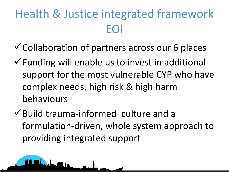### Health & Justice integrated framework EOI

- $\checkmark$  Collaboration of partners across our 6 places
- $\checkmark$  Funding will enable us to invest in additional support for the most vulnerable CYP who have complex needs, high risk & high harm behaviours
- $\checkmark$  Build trauma-informed culture and a formulation-driven, whole system approach to providing integrated support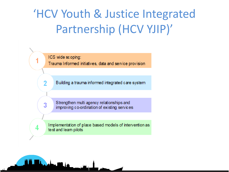### 'HCV Youth & Justice Integrated Partnership (HCV YJIP)'



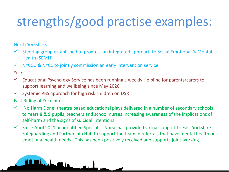### strengths/good practise examples:

#### North Yorkshire:

- Steering group established to progress an integrated approach to Social Emotional & Mental Health (SEMH).
- $\checkmark$  NYCCG & NYCC to jointly commission an early intervention service

#### York:

- Educational Psychology Service has been running a weekly Helpline for parents/carers to support learning and wellbeing since May 2020
- $\checkmark$  Systemic PBS approach for high risk children on DSR

#### East Riding of Yorkshire:

- 'No Harm Done' theatre based educational plays delivered in a number of secondary schools to Years 8 & 9 pupils, teachers and school nurses increasing awareness of the implications of self-harm and the signs of suicidal intentions.
- $\checkmark$  Since April 2021 an identified Specialist Nurse has provided virtual support to East Yorkshire Safeguarding and Partnership Hub to support the team in referrals that have mental health or emotional health needs. This has been positively received and supports joint working.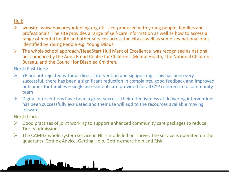#### Hull:

- $\triangleright$  website www.howareyoufeeling.org.uk is co-produced with young people, families and professionals. The site provides a range of self-care information as well as how to access a range of mental health and other services across the city as well as some key national ones identified by Young People e.g. Young Minds.
- $\triangleright$  The whole school approach/HeadStart Hull Mark of Excellence was recognised as national best practice by the Anna Freud Centre for Children's Mental Health, The National Children's Bureau, and the Council for Disabled Children.

#### North East Lincs:

- $\triangleright$  YP are not rejected without direct intervention and signposting. This has been very successful, there has been a significant reduction in complaints, good feedback and improved outcomes for families – single assessments are provided for all CYP referred in to community team
- $\triangleright$  Digital interventions have been a great success, their effectiveness at delivering interventions has been successfully evaluated and their use will add to the resources available moving forward.

#### North Lincs:

ه الکسی

- $\triangleright$  Good practises of joint working to support enhanced community care packages to reduce Tier IV admissions
- $\triangleright$  The CAMHS whole system service in NL is modelled on Thrive. The service is operated on the quadrants 'Getting Advice, Getting Help, Getting more help and Risk'.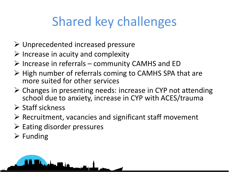### Shared key challenges

- Unprecedented increased pressure
- $\triangleright$  Increase in acuity and complexity
- $\triangleright$  Increase in referrals community CAMHS and ED
- $\triangleright$  High number of referrals coming to CAMHS SPA that are more suited for other services
- $\triangleright$  Changes in presenting needs: increase in CYP not attending school due to anxiety, increase in CYP with ACES/trauma
- $\triangleright$  Staff sickness
- $\triangleright$  Recruitment, vacancies and significant staff movement
- $\triangleright$  Eating disorder pressures

ma **100** l de

 $\triangleright$  Funding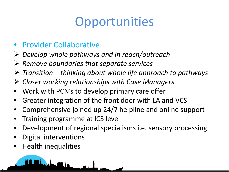### **Opportunities**

### • Provider Collaborative:

- *Develop whole pathways and in reach/outreach*
- *Remove boundaries that separate services*
- *Transition – thinking about whole life approach to pathways*
- *Closer working relationships with Case Managers*
- Work with PCN's to develop primary care offer
- Greater integration of the front door with LA and VCS
- Comprehensive joined up 24/7 helpline and online support
- Training programme at ICS level
- Development of regional specialisms i.e. sensory processing
- Digital interventions
- Health inequalities